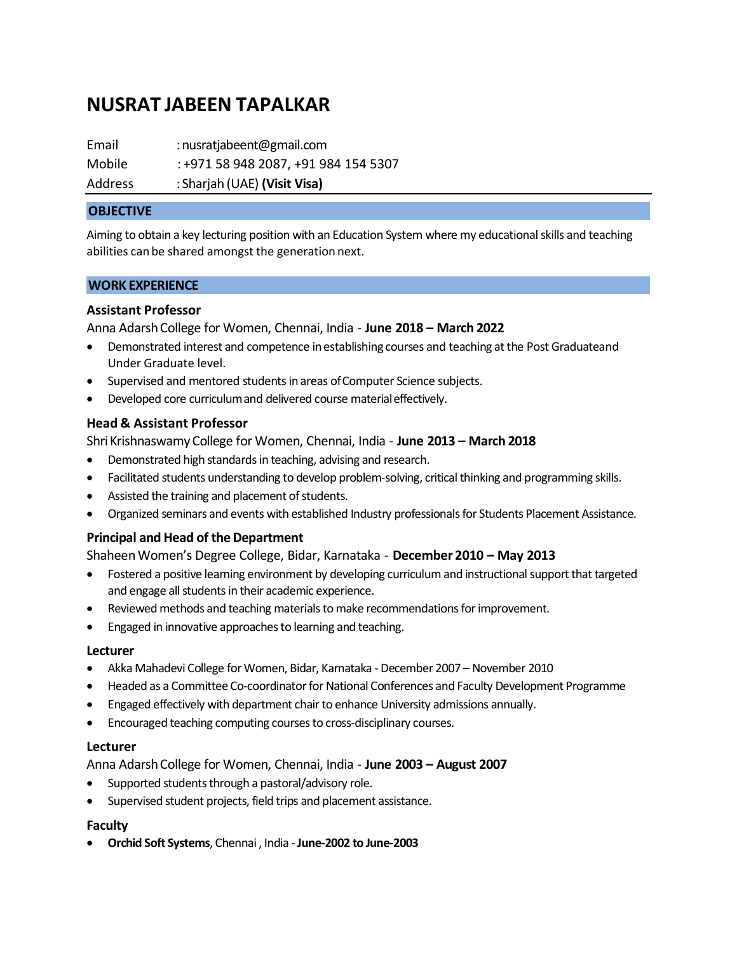# **NUSRAT JABEEN TAPALKAR**

Email : nusratjabeent@gmail.com Mobile : +971 58 948 2087, +91 984 154 5307 Address : Sharjah (UAE) **(Visit Visa)**

## **OBJECTIVE**

Aiming to obtain a key lecturing position with an Education System where my educational skills and teaching abilities can be shared amongst the generation next.

#### **WORK EXPERIENCE**

## **Assistant Professor**

Anna AdarshCollege for Women, Chennai, India - **June 2018 – March 2022**

- Demonstrated interest and competence inestablishing courses and teaching atthe Post Graduateand Under Graduate level.
- Supervised and mentored students in areas of Computer Science subjects.
- Developed core curriculumand delivered course materialeffectively.

# **Head & Assistant Professor**

ShriKrishnaswamy College for Women, Chennai, India - **June 2013 – March 2018**

- Demonstrated high standards in teaching, advising and research.
- Facilitated students understanding to develop problem-solving, critical thinking and programming skills.
- Assisted the training and placement of students.
- Organized seminars and events with established Industry professionals for Students Placement Assistance.

#### **Principal and Head of theDepartment**

# ShaheenWomen's Degree College, Bidar, Karnataka - **December 2010 – May 2013**

- Fostered a positive learning environment by developing curriculum and instructional support that targeted and engage all students in their academic experience.
- Reviewed methods and teaching materials to make recommendations for improvement.
- Engaged in innovative approaches to learning and teaching.

#### **Lecturer**

- Akka Mahadevi College for Women, Bidar, Karnataka December 2007 November 2010
- Headed as a Committee Co-coordinator for National Conferences and Faculty Development Programme
- Engaged effectively with department chair to enhance University admissions annually.
- Encouraged teaching computing courses to cross-disciplinary courses.

#### **Lecturer**

Anna AdarshCollege for Women, Chennai, India - **June 2003 – August 2007**

- Supported students through a pastoral/advisory role.
- Supervised student projects, field trips and placement assistance.

# **Faculty**

• **Orchid Soft Systems**, Chennai , India -**June-2002 to June-2003**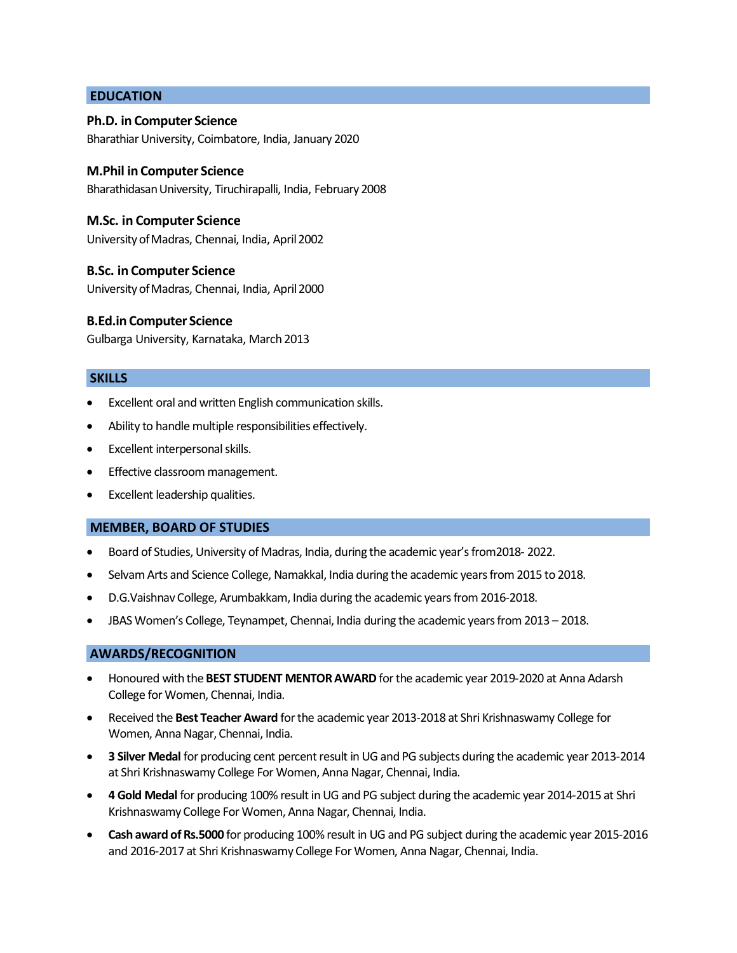## **EDUCATION**

#### **Ph.D. in Computer Science**

Bharathiar University, Coimbatore, India, January 2020

## **M.Phil in Computer Science**

BharathidasanUniversity, Tiruchirapalli, India, February 2008

## **M.Sc. in Computer Science**

UniversityofMadras, Chennai, India, April2002

## **B.Sc. in Computer Science**

UniversityofMadras, Chennai, India, April2000

## **B.Ed.in Computer Science**

Gulbarga University, Karnataka, March 2013

## **SKILLS**

- Excellent oral and written English communication skills.
- Ability to handle multiple responsibilities effectively.
- Excellent interpersonal skills.
- Effective classroom management.
- Excellent leadership qualities.

#### **MEMBER, BOARD OF STUDIES**

- Board of Studies, University of Madras, India, during the academic year's from2018- 2022.
- Selvam Arts and Science College, Namakkal, India during the academic years from 2015 to 2018.
- D.G.Vaishnav College, Arumbakkam, India during the academic years from 2016-2018.
- JBAS Women's College, Teynampet, Chennai, India during the academic years from 2013 2018.

#### **AWARDS/RECOGNITION**

- Honoured with the **BEST STUDENT MENTOR AWARD** for the academic year 2019-2020 at Anna Adarsh College for Women, Chennai, India.
- Received the **Best Teacher Award** for the academic year 2013-2018 at Shri Krishnaswamy College for Women, Anna Nagar, Chennai, India.
- **3 Silver Medal** for producing cent percent result in UG and PG subjects during the academic year 2013-2014 at Shri Krishnaswamy College For Women, Anna Nagar, Chennai, India.
- **4 Gold Medal** for producing 100% result in UG and PG subject during the academic year 2014-2015 at Shri Krishnaswamy College For Women, Anna Nagar, Chennai, India.
- **Cash award of Rs.5000** for producing 100% result in UG and PG subject during the academic year 2015-2016 and 2016-2017 at Shri Krishnaswamy College For Women, Anna Nagar, Chennai, India.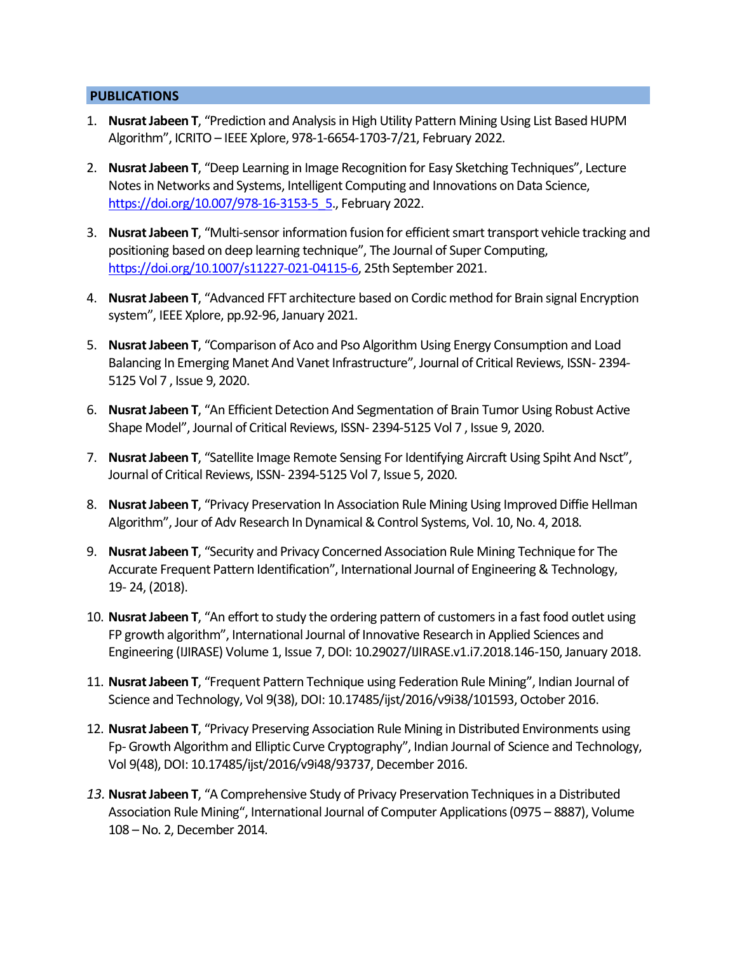# **PUBLICATIONS**

- 1. **Nusrat Jabeen T**, "Prediction and Analysis in High Utility Pattern Mining Using List Based HUPM Algorithm", ICRITO – IEEE Xplore, 978-1-6654-1703-7/21, February 2022.
- 2. **Nusrat Jabeen T**, "Deep Learning in Image Recognition for Easy Sketching Techniques", Lecture Notes in Networks and Systems, Intelligent Computing and Innovations on Data Science, https://doi.org/10.007/978-16-3153-5 5., February 2022.
- 3. **Nusrat Jabeen T**, "Multi-sensor information fusion for efficient smart transport vehicle tracking and positioning based on deep learning technique", The Journal of Super Computing, [https://doi.org/10.1007/s11227-021-04115-6,](https://doi.org/10.1007/s11227-021-04115-6) 25th September 2021.
- 4. **Nusrat Jabeen T**, "Advanced FFT architecture based on Cordic method for Brain signal Encryption system", IEEE Xplore, pp.92-96, January 2021.
- 5. **Nusrat Jabeen T**, "Comparison of Aco and Pso Algorithm Using Energy Consumption and Load Balancing In Emerging Manet And Vanet Infrastructure", Journal of Critical Reviews, ISSN- 2394- 5125 Vol 7 , Issue 9, 2020.
- 6. **Nusrat Jabeen T**, "An Efficient Detection And Segmentation of Brain Tumor Using Robust Active Shape Model", Journal of Critical Reviews, ISSN- 2394-5125 Vol 7 , Issue 9, 2020.
- 7. **Nusrat Jabeen T**, "Satellite Image Remote Sensing For Identifying Aircraft Using Spiht And Nsct", Journal of Critical Reviews, ISSN- 2394-5125 Vol 7, Issue 5, 2020.
- 8. **Nusrat Jabeen T**, "Privacy Preservation In Association Rule Mining Using Improved Diffie Hellman Algorithm", Jour of Adv Research In Dynamical & Control Systems, Vol. 10, No. 4, 2018.
- 9. **Nusrat Jabeen T**, "Security and Privacy Concerned Association Rule Mining Technique for The Accurate Frequent Pattern Identification", International Journal of Engineering & Technology, 19- 24, (2018).
- 10. **Nusrat Jabeen T**, "An effort to study the ordering pattern of customers in a fast food outlet using FP growth algorithm", International Journal of Innovative Research in Applied Sciences and Engineering (IJIRASE) Volume 1, Issue 7, DOI: 10.29027/IJIRASE.v1.i7.2018.146-150, January 2018.
- 11. **Nusrat Jabeen T**, "Frequent Pattern Technique using Federation Rule Mining", Indian Journal of Science and Technology, Vol 9(38), DOI: 10.17485/ijst/2016/v9i38/101593, October 2016.
- 12. **Nusrat Jabeen T**, "Privacy Preserving Association Rule Mining in Distributed Environments using Fp- Growth Algorithm and Elliptic Curve Cryptography", Indian Journal of Science and Technology, Vol 9(48), DOI: 10.17485/ijst/2016/v9i48/93737, December 2016.
- *13.* **Nusrat Jabeen T**, "A Comprehensive Study of Privacy Preservation Techniques in a Distributed Association Rule Mining", International Journal of Computer Applications (0975 – 8887), Volume 108 – No. 2, December 2014.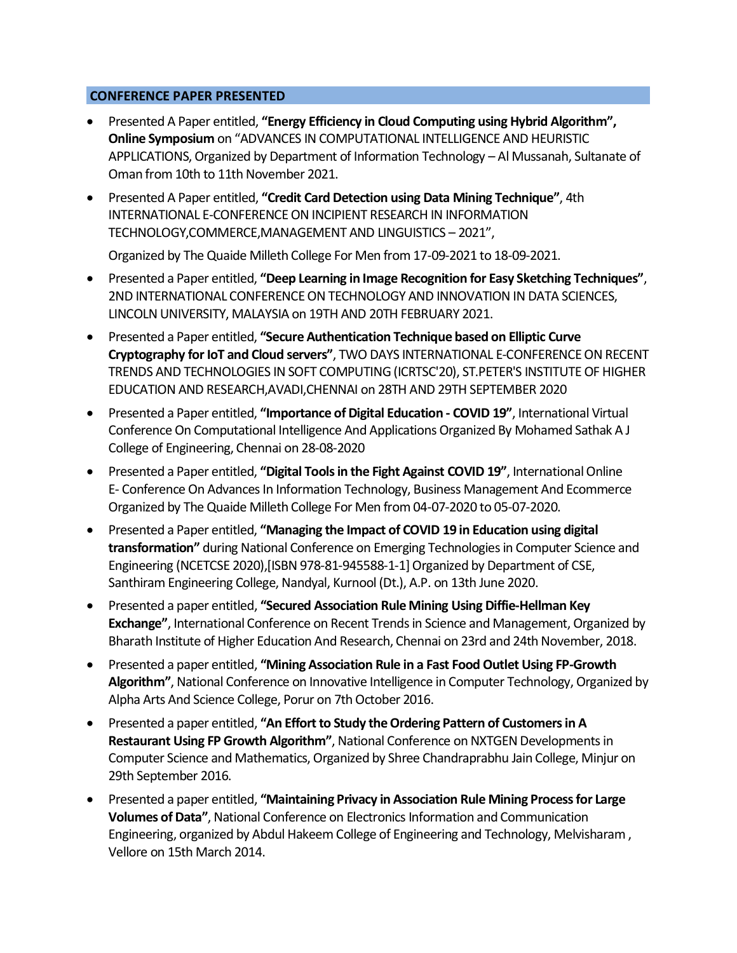# **CONFERENCE PAPER PRESENTED**

- Presented A Paper entitled, **"Energy Efficiency in Cloud Computing using Hybrid Algorithm", Online Symposium** on "ADVANCES IN COMPUTATIONAL INTELLIGENCE AND HEURISTIC APPLICATIONS, Organized by Department of Information Technology – Al Mussanah, Sultanate of Oman from 10th to 11th November 2021.
- Presented A Paper entitled, **"Credit Card Detection using Data Mining Technique"**, 4th INTERNATIONAL E-CONFERENCE ON INCIPIENT RESEARCH IN INFORMATION TECHNOLOGY,COMMERCE,MANAGEMENT AND LINGUISTICS – 2021",

Organized by The Quaide Milleth College For Men from 17-09-2021 to 18-09-2021.

- Presented a Paper entitled, **"Deep Learning in Image Recognition for Easy Sketching Techniques"**, 2ND INTERNATIONAL CONFERENCE ON TECHNOLOGY AND INNOVATION IN DATA SCIENCES, LINCOLN UNIVERSITY, MALAYSIA on 19TH AND 20TH FEBRUARY 2021.
- Presented a Paper entitled, **"Secure Authentication Technique based on Elliptic Curve Cryptography for IoT and Cloud servers"**, TWO DAYS INTERNATIONAL E-CONFERENCE ON RECENT TRENDS AND TECHNOLOGIES IN SOFT COMPUTING (ICRTSC'20), ST.PETER'S INSTITUTE OF HIGHER EDUCATION AND RESEARCH,AVADI,CHENNAI on 28TH AND 29TH SEPTEMBER 2020
- Presented a Paper entitled, **"Importance of Digital Education - COVID 19"**, International Virtual Conference On Computational Intelligence And Applications Organized By Mohamed Sathak A J College of Engineering, Chennai on 28-08-2020
- Presented a Paper entitled, **"Digital Tools in the Fight Against COVID 19"**, International Online E- Conference On Advances In Information Technology, Business Management And Ecommerce Organized by The Quaide Milleth College For Men from 04-07-2020 to 05-07-2020.
- Presented a Paper entitled, **"Managing the Impact of COVID 19 in Education using digital transformation"** during National Conference on Emerging Technologies in Computer Science and Engineering (NCETCSE 2020),[ISBN 978-81-945588-1-1] Organized by Department of CSE, Santhiram Engineering College, Nandyal, Kurnool (Dt.), A.P. on 13th June 2020.
- Presented a paper entitled, **"Secured Association Rule Mining Using Diffie-Hellman Key Exchange"**, International Conference on Recent Trends in Science and Management, Organized by Bharath Institute of Higher Education And Research, Chennai on 23rd and 24th November, 2018.
- Presented a paper entitled, **"Mining Association Rule in a Fast Food Outlet Using FP-Growth Algorithm"**, National Conference on Innovative Intelligence in Computer Technology, Organized by Alpha Arts And Science College, Porur on 7th October 2016.
- Presented a paper entitled, **"An Effort to Study the Ordering Pattern of Customers in A Restaurant Using FP Growth Algorithm"**, National Conference on NXTGEN Developments in Computer Science and Mathematics, Organized by Shree Chandraprabhu Jain College, Minjur on 29th September 2016.
- Presented a paper entitled, **"Maintaining Privacy in Association Rule Mining Process for Large Volumes of Data"**, National Conference on Electronics Information and Communication Engineering, organized by Abdul Hakeem College of Engineering and Technology, Melvisharam , Vellore on 15th March 2014.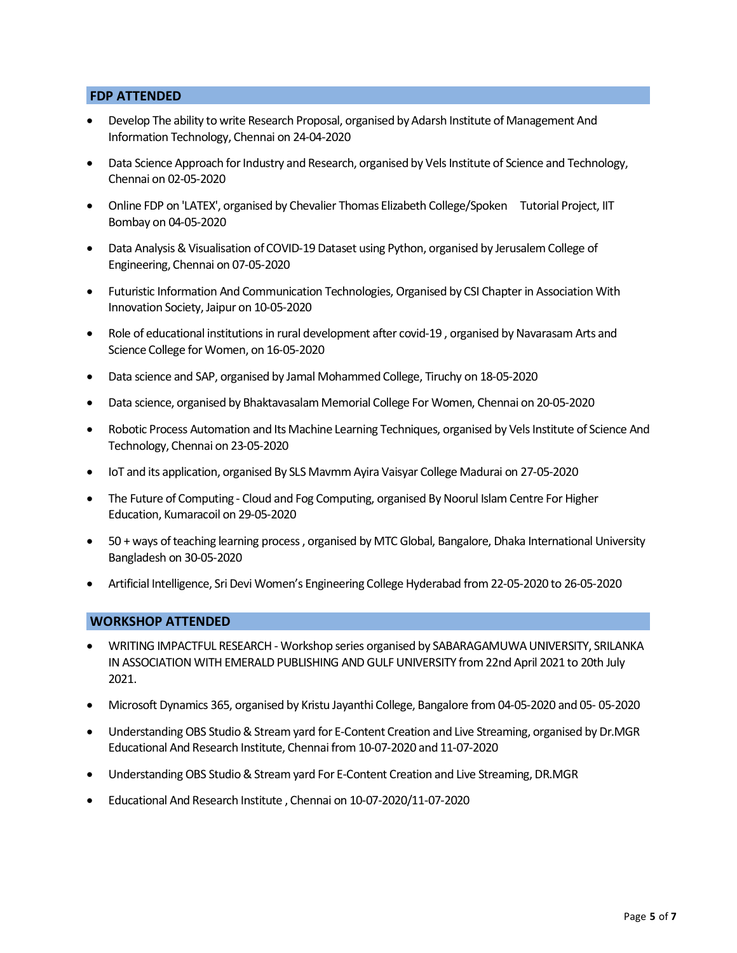### **FDP ATTENDED**

- Develop The ability to write Research Proposal, organised by Adarsh Institute of Management And Information Technology, Chennai on 24-04-2020
- Data Science Approach for Industry and Research, organised by Vels Institute of Science and Technology, Chennai on 02-05-2020
- Online FDP on 'LATEX', organised by Chevalier Thomas Elizabeth College/Spoken Tutorial Project, IIT Bombay on 04-05-2020
- Data Analysis & Visualisation of COVID-19 Dataset using Python, organised by Jerusalem College of Engineering, Chennai on 07-05-2020
- Futuristic Information And Communication Technologies, Organised by CSI Chapter in Association With Innovation Society, Jaipur on 10-05-2020
- Role of educational institutions in rural development after covid-19 , organised by Navarasam Arts and Science College for Women, on 16-05-2020
- Data science and SAP, organised by Jamal Mohammed College, Tiruchy on 18-05-2020
- Data science, organised by Bhaktavasalam Memorial College For Women, Chennai on 20-05-2020
- Robotic Process Automation and Its Machine Learning Techniques, organised by Vels Institute of Science And Technology, Chennai on 23-05-2020
- IoT and its application, organised By SLS Mavmm Ayira Vaisyar College Madurai on 27-05-2020
- The Future of Computing Cloud and Fog Computing, organised By Noorul Islam Centre For Higher Education, Kumaracoil on 29-05-2020
- 50 + ways of teaching learning process , organised by MTC Global, Bangalore, Dhaka International University Bangladesh on 30-05-2020
- Artificial Intelligence, Sri Devi Women's Engineering College Hyderabad from 22-05-2020 to 26-05-2020

#### **WORKSHOP ATTENDED**

- WRITING IMPACTFUL RESEARCH Workshop series organised by SABARAGAMUWA UNIVERSITY, SRILANKA IN ASSOCIATION WITH EMERALD PUBLISHING AND GULF UNIVERSITY from 22nd April 2021 to 20th July 2021.
- Microsoft Dynamics 365, organised by Kristu Jayanthi College, Bangalore from 04-05-2020 and 05- 05-2020
- Understanding OBS Studio & Stream yard for E-Content Creation and Live Streaming, organised by Dr.MGR Educational And Research Institute, Chennai from 10-07-2020 and 11-07-2020
- Understanding OBS Studio & Stream yard For E-Content Creation and Live Streaming, DR.MGR
- Educational And Research Institute , Chennai on 10-07-2020/11-07-2020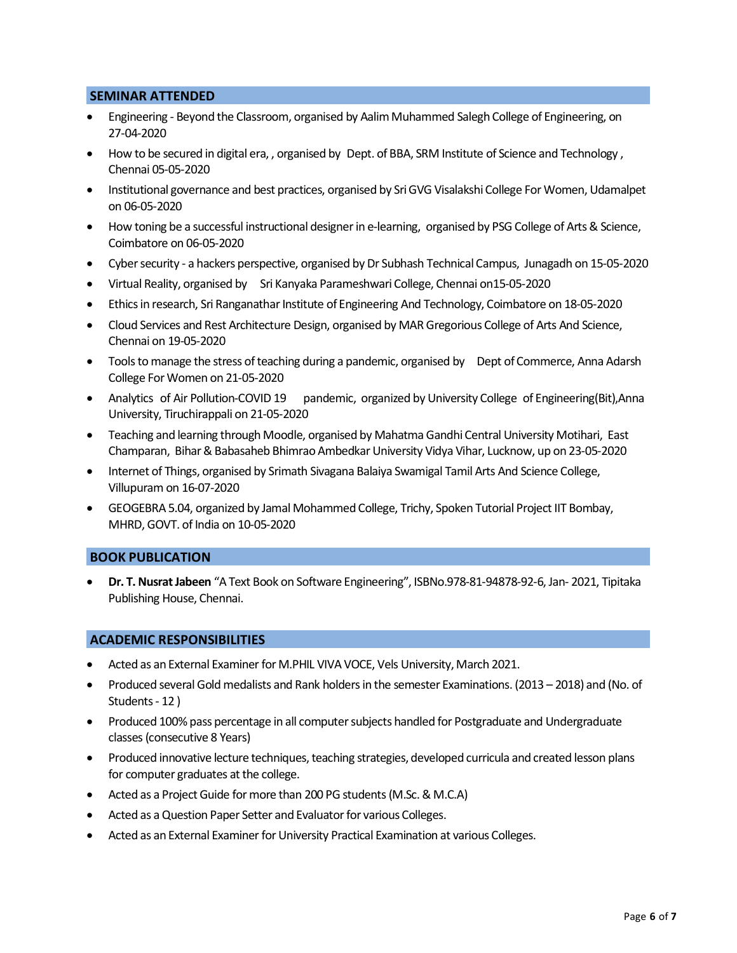#### **SEMINAR ATTENDED**

- Engineering Beyond the Classroom, organised by Aalim Muhammed Salegh College of Engineering, on 27-04-2020
- How to be secured in digital era, , organised by Dept. of BBA, SRM Institute of Science and Technology , Chennai 05-05-2020
- Institutional governance and best practices, organised by Sri GVG Visalakshi College For Women, Udamalpet on 06-05-2020
- How toning be a successful instructional designer in e-learning, organised by PSG College of Arts & Science, Coimbatore on 06-05-2020
- Cyber security a hackers perspective, organised by Dr Subhash Technical Campus, Junagadh on 15-05-2020
- Virtual Reality, organised by Sri Kanyaka Parameshwari College, Chennai on15-05-2020
- Ethicsin research, Sri Ranganathar Institute of Engineering And Technology, Coimbatore on 18-05-2020
- Cloud Services and Rest Architecture Design, organised by MAR Gregorious College of Arts And Science, Chennai on 19-05-2020
- Tools to manage the stress of teaching during a pandemic, organised by Dept of Commerce, Anna Adarsh College For Women on 21-05-2020
- Analytics of Air Pollution-COVID 19 pandemic, organized by University College of Engineering(Bit),Anna University, Tiruchirappali on 21-05-2020
- Teaching and learning through Moodle, organised by Mahatma Gandhi Central University Motihari, East Champaran, Bihar & Babasaheb Bhimrao Ambedkar University Vidya Vihar, Lucknow, up on 23-05-2020
- Internet of Things, organised by Srimath Sivagana Balaiya Swamigal Tamil Arts And Science College, Villupuram on 16-07-2020
- GEOGEBRA 5.04, organized by Jamal Mohammed College, Trichy, Spoken Tutorial Project IIT Bombay, MHRD, GOVT. of India on 10-05-2020

#### **BOOK PUBLICATION**

• **Dr. T. Nusrat Jabeen** "A Text Book on Software Engineering", ISBNo.978-81-94878-92-6, Jan- 2021, Tipitaka Publishing House, Chennai.

#### **ACADEMIC RESPONSIBILITIES**

- Acted as an External Examiner for M.PHIL VIVA VOCE, Vels University, March 2021.
- Produced several Gold medalists and Rank holders in the semester Examinations. (2013 2018) and (No. of Students - 12 )
- Produced 100% pass percentage in all computer subjects handled for Postgraduate and Undergraduate classes(consecutive 8 Years)
- Produced innovative lecture techniques, teaching strategies, developed curricula and created lesson plans for computer graduates at the college.
- Acted as a Project Guide for more than 200 PG students (M.Sc. & M.C.A)
- Acted as a Question Paper Setter and Evaluator for various Colleges.
- Acted as an External Examiner for University Practical Examination at various Colleges.